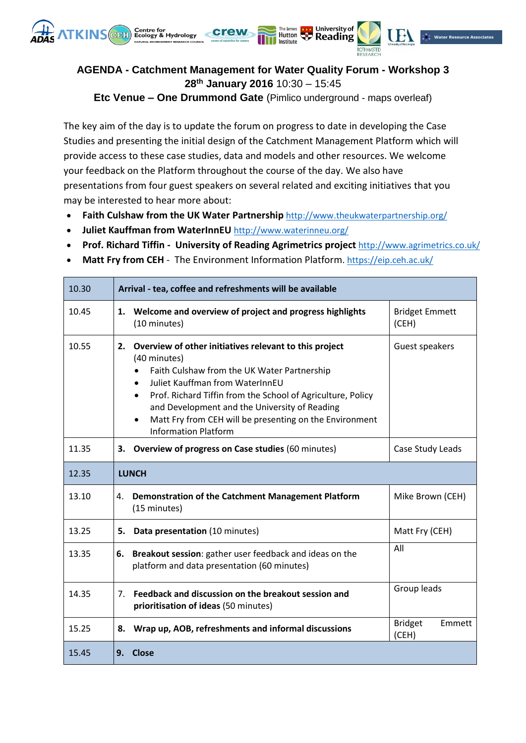

## **AGENDA - Catchment Management for Water Quality Forum - Workshop 3 28 th January 2016** 10:30 – 15:45

Hutton

**A** University of

 $\stackrel{*}{\bullet}$  Water Resource Associate:

**Etc Venue – One Drummond Gate** (Pimlico underground - maps overleaf)

The key aim of the day is to update the forum on progress to date in developing the Case Studies and presenting the initial design of the Catchment Management Platform which will provide access to these case studies, data and models and other resources. We welcome your feedback on the Platform throughout the course of the day. We also have presentations from four guest speakers on several related and exciting initiatives that you may be interested to hear more about:

- **Faith Culshaw from the UK Water Partnership** <http://www.theukwaterpartnership.org/>
- **Juliet Kauffman from WaterInnEU** <http://www.waterinneu.org/>
- **Prof. Richard Tiffin - University of Reading Agrimetrics project** <http://www.agrimetrics.co.uk/>
- **Matt Fry from CEH** The Environment Information Platform.<https://eip.ceh.ac.uk/>

| 10.30 | Arrival - tea, coffee and refreshments will be available                                                                                                                                                                                                                                                                                                                                                        |                                   |  |
|-------|-----------------------------------------------------------------------------------------------------------------------------------------------------------------------------------------------------------------------------------------------------------------------------------------------------------------------------------------------------------------------------------------------------------------|-----------------------------------|--|
| 10.45 | Welcome and overview of project and progress highlights<br>1.<br>(10 minutes)                                                                                                                                                                                                                                                                                                                                   | <b>Bridget Emmett</b><br>(CEH)    |  |
| 10.55 | 2.<br>Overview of other initiatives relevant to this project<br>(40 minutes)<br>Faith Culshaw from the UK Water Partnership<br>$\bullet$<br>Juliet Kauffman from WaterInnEU<br>$\bullet$<br>Prof. Richard Tiffin from the School of Agriculture, Policy<br>$\bullet$<br>and Development and the University of Reading<br>Matt Fry from CEH will be presenting on the Environment<br><b>Information Platform</b> | Guest speakers                    |  |
| 11.35 | <b>Overview of progress on Case studies (60 minutes)</b><br>3.                                                                                                                                                                                                                                                                                                                                                  | Case Study Leads                  |  |
| 12.35 | <b>LUNCH</b>                                                                                                                                                                                                                                                                                                                                                                                                    |                                   |  |
| 13.10 | Demonstration of the Catchment Management Platform<br>4.<br>(15 minutes)                                                                                                                                                                                                                                                                                                                                        | Mike Brown (CEH)                  |  |
| 13.25 | 5.<br>Data presentation (10 minutes)                                                                                                                                                                                                                                                                                                                                                                            | Matt Fry (CEH)                    |  |
| 13.35 | Breakout session: gather user feedback and ideas on the<br>6.<br>platform and data presentation (60 minutes)                                                                                                                                                                                                                                                                                                    | All                               |  |
| 14.35 | Feedback and discussion on the breakout session and<br>7.<br>prioritisation of ideas (50 minutes)                                                                                                                                                                                                                                                                                                               | Group leads                       |  |
| 15.25 | Wrap up, AOB, refreshments and informal discussions<br>8.                                                                                                                                                                                                                                                                                                                                                       | <b>Bridget</b><br>Emmett<br>(CEH) |  |
| 15.45 | <b>Close</b><br>9.                                                                                                                                                                                                                                                                                                                                                                                              |                                   |  |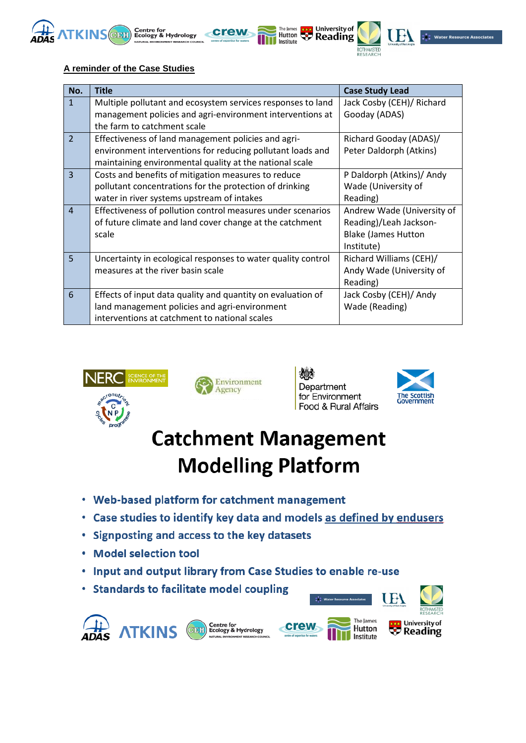



| No.            | <b>Title</b>                                                 | <b>Case Study Lead</b>     |
|----------------|--------------------------------------------------------------|----------------------------|
| $\mathbf{1}$   | Multiple pollutant and ecosystem services responses to land  | Jack Cosby (CEH)/ Richard  |
|                | management policies and agri-environment interventions at    | Gooday (ADAS)              |
|                | the farm to catchment scale                                  |                            |
| $\overline{2}$ | Effectiveness of land management policies and agri-          | Richard Gooday (ADAS)/     |
|                | environment interventions for reducing pollutant loads and   | Peter Daldorph (Atkins)    |
|                | maintaining environmental quality at the national scale      |                            |
| $\overline{3}$ | Costs and benefits of mitigation measures to reduce          | P Daldorph (Atkins)/ Andy  |
|                | pollutant concentrations for the protection of drinking      | Wade (University of        |
|                | water in river systems upstream of intakes                   | Reading)                   |
| $\overline{4}$ | Effectiveness of pollution control measures under scenarios  | Andrew Wade (University of |
|                | of future climate and land cover change at the catchment     | Reading)/Leah Jackson-     |
|                | scale                                                        | <b>Blake (James Hutton</b> |
|                |                                                              | Institute)                 |
| 5              | Uncertainty in ecological responses to water quality control | Richard Williams (CEH)/    |
|                | measures at the river basin scale                            | Andy Wade (University of   |
|                |                                                              | Reading)                   |
| 6              | Effects of input data quality and quantity on evaluation of  | Jack Cosby (CEH)/ Andy     |
|                | land management policies and agri-environment                | Wade (Reading)             |
|                | interventions at catchment to national scales                |                            |

The James **Book** University of

⊃THAMSTED<br>ESEARCH

Institute





XO. Department for Environment Food & Rural Affairs



## **Catchment Management Modelling Platform**

- Web-based platform for catchment management
- Case studies to identify key data and models as defined by endusers
- Signposting and access to the key datasets  $\bullet$
- **Model selection tool**
- Input and output library from Case Studies to enable re-use  $\bullet$
- Standards to facilitate model coupling







The James

Hutton

Institute